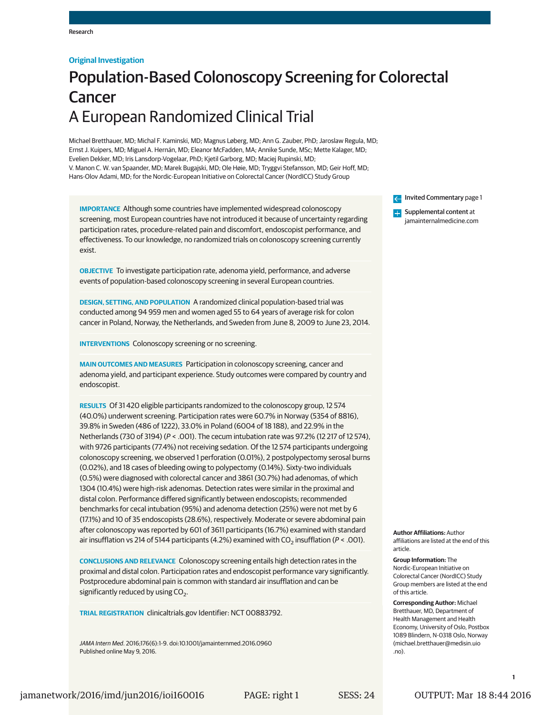### **Original Investigation**

# Population-Based Colonoscopy Screening for Colorectal **Cancer** A European Randomized Clinical Trial

Michael Bretthauer, MD; Michal F. Kaminski, MD; Magnus Løberg, MD; Ann G. Zauber, PhD; Jaroslaw Regula, MD; Ernst J. Kuipers, MD; Miguel A. Hernán, MD; Eleanor McFadden, MA; Annike Sunde, MSc; Mette Kalager, MD; Evelien Dekker, MD; Iris Lansdorp-Vogelaar, PhD; Kjetil Garborg, MD; Maciej Rupinski, MD; V. Manon C. W. van Spaander, MD; Marek Bugajski, MD; Ole Høie, MD; Tryggvi Stefansson, MD; Geir Hoff, MD; Hans-Olov Adami, MD; for the Nordic-European Initiative on Colorectal Cancer (NordICC) Study Group

**IMPORTANCE** Although some countries have implemented widespread colonoscopy screening, most European countries have not introduced it because of uncertainty regarding participation rates, procedure-related pain and discomfort, endoscopist performance, and effectiveness. To our knowledge, no randomized trials on colonoscopy screening currently exist.

**OBJECTIVE** To investigate participation rate, adenoma yield, performance, and adverse events of population-based colonoscopy screening in several European countries.

**DESIGN, SETTING, AND POPULATION** A randomized clinical population-based trial was conducted among 94 959 men and women aged 55 to 64 years of average risk for colon cancer in Poland, Norway, the Netherlands, and Sweden from June 8, 2009 to June 23, 2014.

**INTERVENTIONS** Colonoscopy screening or no screening.

**MAIN OUTCOMES AND MEASURES** Participation in colonoscopy screening, cancer and adenoma yield, and participant experience. Study outcomes were compared by country and endoscopist.

**RESULTS** Of 31 420 eligible participants randomized to the colonoscopy group, 12 574 (40.0%) underwent screening. Participation rates were 60.7% in Norway (5354 of 8816), 39.8% in Sweden (486 of 1222), 33.0% in Poland (6004 of 18 188), and 22.9% in the Netherlands (730 of 3194) (P < .001). The cecum intubation rate was 97.2% (12 217 of 12 574), with 9726 participants (77.4%) not receiving sedation. Of the 12 574 participants undergoing colonoscopy screening, we observed 1 perforation (0.01%), 2 postpolypectomy serosal burns (0.02%), and 18 cases of bleeding owing to polypectomy (0.14%). Sixty-two individuals (0.5%) were diagnosed with colorectal cancer and 3861 (30.7%) had adenomas, of which 1304 (10.4%) were high-risk adenomas. Detection rates were similar in the proximal and distal colon. Performance differed significantly between endoscopists; recommended benchmarks for cecal intubation (95%) and adenoma detection (25%) were not met by 6 (17.1%) and 10 of 35 endoscopists (28.6%), respectively. Moderate or severe abdominal pain after colonoscopy was reported by 601 of 3611 participants (16.7%) examined with standard air insufflation vs 214 of 5144 participants (4.2%) examined with  $CO_2$  insufflation ( $P < .001$ ).

**CONCLUSIONS AND RELEVANCE** Colonoscopy screening entails high detection rates in the proximal and distal colon. Participation rates and endoscopist performance vary significantly. Postprocedure abdominal pain is common with standard air insufflation and can be significantly reduced by using  $CO<sub>2</sub>$ .

**TRIAL REGISTRATION** clinicaltrials.gov Identifier: NCT 00883792.

JAMA Intern Med. 2016;176(6):1-9. doi:10.1001/jamainternmed.2016.0960 Published online May 9, 2016.

**Invited Commentary page 1** 

**F.** Supplemental content at jamainternalmedicine.com

**Author Affiliations:** Author affiliations are listed at the end of this article.

#### **Group Information:** The

Nordic-European Initiative on Colorectal Cancer (NordICC) Study Group members are listed at the end of this article.

**Corresponding Author:** Michael Bretthauer, MD, Department of Health Management and Health Economy, University of Oslo, Postbox 1089 Blindern, N-0318 Oslo, Norway (michael.bretthauer@medisin.uio .no).

**(Reprinted) 1**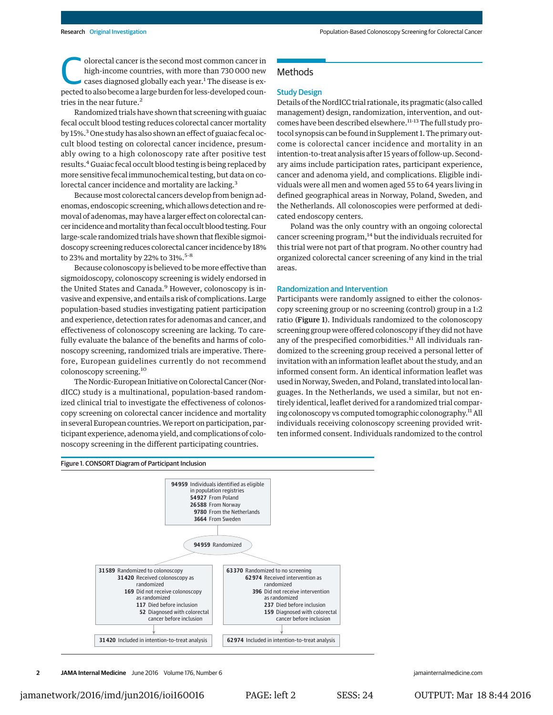olorectal cancer is the second most common cancer in high-income countries, with more than 730 000 new cases diagnosed globally each year.<sup>1</sup> The disease is expected to also become a large burden for less-developed countries in the near future. $^2$ 

Randomized trials have shown that screening with guaiac fecal occult blood testing reduces colorectal cancer mortality by 15%.<sup>3</sup> One study has also shown an effect of guaiac fecal occult blood testing on colorectal cancer incidence, presumably owing to a high colonoscopy rate after positive test results.<sup>4</sup> Guaiac fecal occult blood testing is being replaced by more sensitive fecal immunochemical testing, but data on colorectal cancer incidence and mortality are lacking.<sup>3</sup>

Because most colorectal cancers develop from benign adenomas, endoscopic screening, which allows detection and removal of adenomas, may have a larger effect on colorectal cancer incidence and mortality than fecal occult blood testing. Four large-scale randomized trials have shown that flexible sigmoidoscopy screening reduces colorectal cancer incidence by 18% to 23% and mortality by 22% to 31%. $5-8$ 

Because colonoscopy is believed to be more effective than sigmoidoscopy, colonoscopy screening is widely endorsed in the United States and Canada.<sup>9</sup> However, colonoscopy is invasive and expensive, and entails a risk of complications. Large population-based studies investigating patient participation and experience, detection rates for adenomas and cancer, and effectiveness of colonoscopy screening are lacking. To carefully evaluate the balance of the benefits and harms of colonoscopy screening, randomized trials are imperative. Therefore, European guidelines currently do not recommend colonoscopy screening.<sup>10</sup>

The Nordic-European Initiative on Colorectal Cancer (NordICC) study is a multinational, population-based randomized clinical trial to investigate the effectiveness of colonoscopy screening on colorectal cancer incidence and mortality in several European countries.We report on participation, participant experience, adenoma yield, and complications of colonoscopy screening in the different participating countries.

## Methods

#### Study Design

Details of the NordICC trial rationale, its pragmatic (also called management) design, randomization, intervention, and outcomes have been described elsewhere.<sup>11-13</sup> The full study protocol synopsis can be found in Supplement 1. The primary outcome is colorectal cancer incidence and mortality in an intention-to-treat analysis after 15 years of follow-up. Secondary aims include participation rates, participant experience, cancer and adenoma yield, and complications. Eligible individuals were all men and women aged 55 to 64 years living in defined geographical areas in Norway, Poland, Sweden, and the Netherlands. All colonoscopies were performed at dedicated endoscopy centers.

Poland was the only country with an ongoing colorectal cancer screening program,<sup>14</sup> but the individuals recruited for this trial were not part of that program. No other country had organized colorectal cancer screening of any kind in the trial areas.

#### Randomization and Intervention

Participants were randomly assigned to either the colonoscopy screening group or no screening (control) group in a 1:2 ratio (Figure 1). Individuals randomized to the colonoscopy screening group were offered colonoscopy if they did not have any of the prespecified comorbidities.<sup>11</sup> All individuals randomized to the screening group received a personal letter of invitation with an information leaflet about the study, and an informed consent form. An identical information leaflet was used in Norway, Sweden, and Poland, translated into local languages. In the Netherlands, we used a similar, but not entirely identical, leaflet derived for a randomized trial comparing colonoscopy vs computed tomographic colonography.<sup>11</sup> All individuals receiving colonoscopy screening provided written informed consent. Individuals randomized to the control



**2 JAMA Internal Medicine** June 2016 Volume 176, Number 6 **(Reprinted)** in the proportion of the proportion of the proportion of the proportion of the proportion of the proportion of the proportion of the proportion of t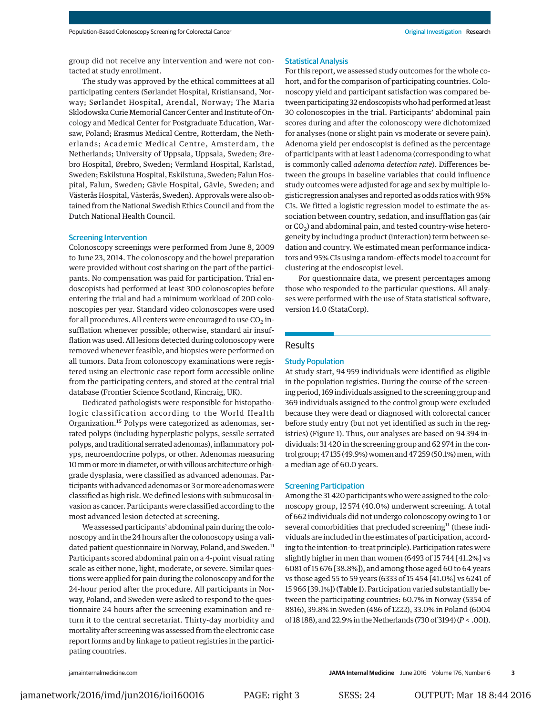group did not receive any intervention and were not contacted at study enrollment.

The study was approved by the ethical committees at all participating centers (Sørlandet Hospital, Kristiansand, Norway; Sørlandet Hospital, Arendal, Norway; The Maria Sklodowska Curie Memorial Cancer Center and Institute of Oncology and Medical Center for Postgraduate Education, Warsaw, Poland; Erasmus Medical Centre, Rotterdam, the Netherlands; Academic Medical Centre, Amsterdam, the Netherlands; University of Uppsala, Uppsala, Sweden; Ørebro Hospital, Ørebro, Sweden; Vermland Hospital, Karlstad, Sweden; Eskilstuna Hospital, Eskilstuna, Sweden; Falun Hospital, Falun, Sweden; Gävle Hospital, Gävle, Sweden; and Västerås Hospital, Västerås, Sweden). Approvals were also obtained from the National Swedish Ethics Council and from the Dutch National Health Council.

#### Screening Intervention

Colonoscopy screenings were performed from June 8, 2009 to June 23, 2014. The colonoscopy and the bowel preparation were provided without cost sharing on the part of the participants. No compensation was paid for participation. Trial endoscopists had performed at least 300 colonoscopies before entering the trial and had a minimum workload of 200 colonoscopies per year. Standard video colonoscopes were used for all procedures. All centers were encouraged to use  $CO<sub>2</sub>$  insufflation whenever possible; otherwise, standard air insufflation was used. All lesions detected during colonoscopy were removed whenever feasible, and biopsies were performed on all tumors. Data from colonoscopy examinations were registered using an electronic case report form accessible online from the participating centers, and stored at the central trial database (Frontier Science Scotland, Kincraig, UK).

Dedicated pathologists were responsible for histopathologic classification according to the World Health Organization.<sup>15</sup> Polyps were categorized as adenomas, serrated polyps (including hyperplastic polyps, sessile serrated polyps, and traditional serrated adenomas), inflammatory polyps, neuroendocrine polyps, or other. Adenomas measuring 10mm ormore in diameter, or with villous architecture or highgrade dysplasia, were classified as advanced adenomas. Participants with advanced adenomas or 3 or more adenomas were classified as high risk.We defined lesions with submucosal invasion as cancer. Participants were classified according to the most advanced lesion detected at screening.

We assessed participants' abdominal pain during the colonoscopy and in the 24 hours after the colonoscopy using a validated patient questionnaire in Norway, Poland, and Sweden.<sup>11</sup> Participants scored abdominal pain on a 4-point visual rating scale as either none, light, moderate, or severe. Similar questions were applied for pain during the colonoscopy and for the 24-hour period after the procedure. All participants in Norway, Poland, and Sweden were asked to respond to the questionnaire 24 hours after the screening examination and return it to the central secretariat. Thirty-day morbidity and mortality after screening was assessed from the electronic case report forms and by linkage to patient registries in the participating countries.

#### Statistical Analysis

For this report, we assessed study outcomes for the whole cohort, and for the comparison of participating countries. Colonoscopy yield and participant satisfaction was compared between participating 32 endoscopistswho had performed at least 30 colonoscopies in the trial. Participants' abdominal pain scores during and after the colonoscopy were dichotomized for analyses (none or slight pain vs moderate or severe pain). Adenoma yield per endoscopist is defined as the percentage of participants with at least 1 adenoma (corresponding to what is commonly called *adenoma detection rate*). Differences between the groups in baseline variables that could influence study outcomes were adjusted for age and sex by multiple logistic regression analyses and reported as odds ratios with 95% CIs. We fitted a logistic regression model to estimate the association between country, sedation, and insufflation gas (air or  $CO<sub>2</sub>$ ) and abdominal pain, and tested country-wise heterogeneity by including a product (interaction) term between sedation and country. We estimated mean performance indicators and 95% CIs using a random-effects model to account for clustering at the endoscopist level.

For questionnaire data, we present percentages among those who responded to the particular questions. All analyses were performed with the use of Stata statistical software, version 14.0 (StataCorp).

#### Results

#### Study Population

At study start, 94 959 individuals were identified as eligible in the population registries. During the course of the screening period, 169 individuals assigned to the screening group and 369 individuals assigned to the control group were excluded because they were dead or diagnosed with colorectal cancer before study entry (but not yet identified as such in the registries) (Figure 1). Thus, our analyses are based on 94 394 individuals: 31 420 in the screening group and 62 974 in the control group; 47 135 (49.9%) women and 47 259 (50.1%) men, with a median age of 60.0 years.

#### Screening Participation

Among the 31 420 participants who were assigned to the colonoscopy group, 12 574 (40.0%) underwent screening. A total of 662 individuals did not undergo colonoscopy owing to 1 or several comorbidities that precluded screening<sup>11</sup> (these individuals are included in the estimates of participation, according to the intention-to-treat principle). Participation rates were slightly higher in men than women (6493 of 15 744 [41.2%] vs 6081 of 15 676 [38.8%]), and among those aged 60 to 64 years vs those aged 55 to 59 years (6333 of 15 454 [41.0%] vs 6241 of 15 966 [39.1%]) (Table 1). Participation varied substantially between the participating countries: 60.7% in Norway (5354 of 8816), 39.8% in Sweden (486 of 1222), 33.0% in Poland (6004 of 18 188), and 22.9% in the Netherlands (730 of 3194) (*P* < .001).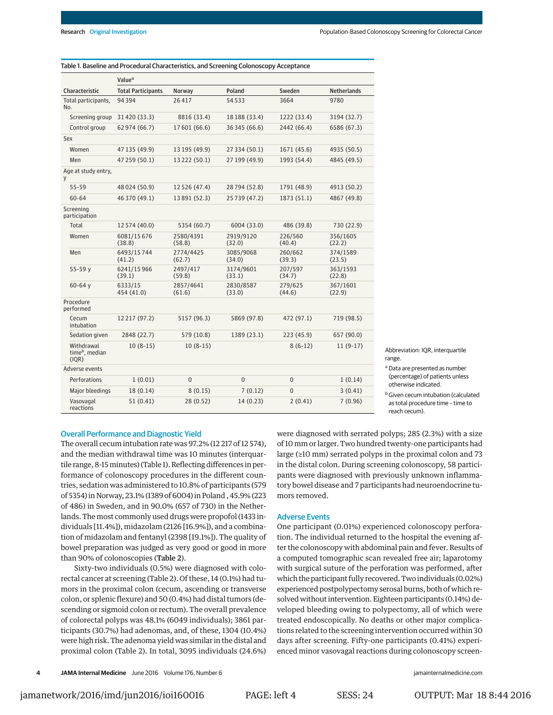|                                                   | Value <sup>a</sup>        |                     |                     |                   |                    |  |  |  |
|---------------------------------------------------|---------------------------|---------------------|---------------------|-------------------|--------------------|--|--|--|
| Characteristic                                    | <b>Total Participants</b> | Norway              | Poland              | Sweden            | <b>Netherlands</b> |  |  |  |
| Total participants,<br>No.                        | 94394                     | 26417               | 54533               | 3664              | 9780               |  |  |  |
| Screening group                                   | 31 420 (33.3)             | 8816 (33.4)         | 18 188 (33.4)       | 1222 (33.4)       | 3194 (32.7)        |  |  |  |
| Control group                                     | 62 974 (66.7)             | 17 601 (66.6)       | 36 345 (66.6)       | 2442 (66.4)       | 6586 (67.3)        |  |  |  |
| Sex                                               |                           |                     |                     |                   |                    |  |  |  |
| Women                                             | 47 135 (49.9)             | 13 195 (49.9)       | 27 334 (50.1)       | 1671 (45.6)       | 4935 (50.5)        |  |  |  |
| Men                                               | 47 259 (50.1)             | 13 222 (50.1)       | 27 199 (49.9)       | 1993 (54.4)       | 4845 (49.5)        |  |  |  |
| Age at study entry,<br>y                          |                           |                     |                     |                   |                    |  |  |  |
| $55 - 59$                                         | 48 024 (50.9)             | 12 526 (47.4)       | 28794 (52.8)        | 1791 (48.9)       | 4913 (50.2)        |  |  |  |
| 60-64                                             | 46 370 (49.1)             | 13 891 (52.3)       | 25 739 (47.2)       | 1873 (51.1)       | 4867 (49.8)        |  |  |  |
| Screening<br>participation                        |                           |                     |                     |                   |                    |  |  |  |
| Total                                             | 12 574 (40.0)             | 5354 (60.7)         | 6004 (33.0)         | 486 (39.8)        | 730 (22.9)         |  |  |  |
| Women                                             | 6081/15676<br>(38.8)      | 2580/4391<br>(58.8) | 2919/9120<br>(32.0) | 226/560<br>(40.4) | 356/1605<br>(22.2) |  |  |  |
| Men                                               | 6493/15744<br>(41.2)      | 2774/4425<br>(62.7) | 3085/9068<br>(34.0) | 260/662<br>(39.3) | 374/1589<br>(23.5) |  |  |  |
| 55-59 y                                           | 6241/15966<br>(39.1)      | 2497/417<br>(59.8)  | 3174/9601<br>(33.1) | 207/597<br>(34.7) | 363/1593<br>(22.8) |  |  |  |
| $60 - 64y$                                        | 6333/15<br>454 (41.0)     | 2857/4641<br>(61.6) | 2830/8587<br>(33.0) | 279/625<br>(44.6) | 367/1601<br>(22.9) |  |  |  |
| Procedure<br>performed                            |                           |                     |                     |                   |                    |  |  |  |
| Cecum<br>intubation                               | 12 217 (97.2)             | 5157 (96.3)         | 5869 (97.8)         | 472 (97.1)        | 719 (98.5)         |  |  |  |
| Sedation given                                    | 2848 (22.7)               | 579 (10.8)          | 1389 (23.1)         | 223 (45.9)        | 657 (90.0)         |  |  |  |
| Withdrawal<br>time <sup>b</sup> , median<br>(IQR) | $10(8-15)$                | $10(8-15)$          |                     | $8(6-12)$         | $11(9-17)$         |  |  |  |
| Adverse events                                    |                           |                     |                     |                   |                    |  |  |  |
| Perforations                                      | 1(0.01)                   | 0                   | $\mathbf{0}$        | $\mathbf{0}$      | 1(0.14)            |  |  |  |
| Major bleedings                                   | 18 (0.14)                 | 8(0.15)             | 7(0.12)             | $\mathbf{0}$      | 3(0.41)            |  |  |  |
| Vasovagal<br>reactions                            | 51(0.41)                  | 28 (0.52)           | 14 (0.23)           | 2(0.41)           | 7(0.96)            |  |  |  |

Table 1. Baseline and Procedural Characteristics, and Screening Colonoscopy Acceptance

Abbreviation: IQR, interquartile range.

<sup>a</sup> Data are presented as number (percentage) of patients unless otherwise indicated.

**b** Given cecum intubation (calculated as total procedure time – time to reach cecum).

#### Overall Performance and Diagnostic Yield

The overall cecum intubation rate was 97.2% (12 217 of 12 574), and the median withdrawal time was 10 minutes (interquartile range, 8-15minutes) (Table 1). Reflecting differences in performance of colonoscopy procedures in the different countries, sedation was administered to 10.8% of participants (579 of 5354) in Norway, 23.1% (1389 of 6004) in Poland , 45.9% (223 of 486) in Sweden, and in 90.0% (657 of 730) in the Netherlands. The most commonly used drugs were propofol (1433 individuals [11.4%]), midazolam (2126 [16.9%]), and a combination of midazolam and fentanyl (2398 [19.1%]). The quality of bowel preparation was judged as very good or good in more than 90% of colonoscopies (Table 2).

Sixty-two individuals (0.5%) were diagnosed with colorectal cancer at screening (Table 2). Of these, 14 (0.1%) had tumors in the proximal colon (cecum, ascending or transverse colon, or splenic flexure) and 50 (0.4%) had distal tumors (descending or sigmoid colon or rectum). The overall prevalence of colorectal polyps was 48.1% (6049 individuals); 3861 participants (30.7%) had adenomas, and, of these, 1304 (10.4%) were high risk. The adenoma yield was similar in the distal and proximal colon (Table 2). In total, 3095 individuals (24.6%)

were diagnosed with serrated polyps; 285 (2.3%) with a size of 10 mm or larger. Two hundred twenty-one participants had large (≥10 mm) serrated polyps in the proximal colon and 73 in the distal colon. During screening colonoscopy, 58 participants were diagnosed with previously unknown inflammatory bowel disease and 7 participants had neuroendocrine tumors removed.

#### Adverse Events

One participant (0.01%) experienced colonoscopy perforation. The individual returned to the hospital the evening after the colonoscopy with abdominal pain and fever. Results of a computed tomographic scan revealed free air; laparotomy with surgical suture of the perforation was performed, after which the participant fully recovered. Two individuals (0.02%) experienced postpolypectomy serosal burns, both of which resolved without intervention. Eighteen participants (0.14%) developed bleeding owing to polypectomy, all of which were treated endoscopically. No deaths or other major complications related to the screening intervention occurred within 30 days after screening. Fifty-one participants (0.41%) experienced minor vasovagal reactions during colonoscopy screen-

**4 JAMA Internal Medicine** June 2016 Volume 176, Number 6 **(Reprinted)** jamainternalmedicine.com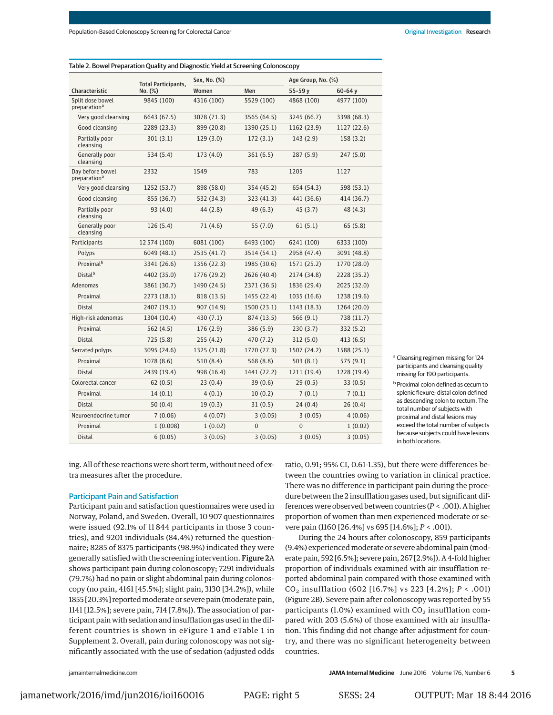| Characteristic                               |                                              | <b>Total Participants,</b><br>$No. (\%)$ | Sex, No. (%) |             | Age Group, No. (%) |             |
|----------------------------------------------|----------------------------------------------|------------------------------------------|--------------|-------------|--------------------|-------------|
|                                              |                                              |                                          | Women        | Men         | 55-59 y            | $60 - 64y$  |
| Split dose bowel<br>preparation <sup>a</sup> |                                              | 9845 (100)                               | 4316 (100)   | 5529 (100)  | 4868 (100)         | 4977 (100)  |
|                                              | Very good cleansing                          | 6643 (67.5)                              | 3078 (71.3)  | 3565 (64.5) | 3245 (66.7)        | 3398 (68.3) |
|                                              | Good cleansing                               | 2289 (23.3)                              | 899 (20.8)   | 1390 (25.1) | 1162 (23.9)        | 1127 (22.6) |
|                                              | Partially poor<br>cleansing                  | 301(3.1)                                 | 129(3.0)     | 172(3.1)    | 143 (2.9)          | 158(3.2)    |
|                                              | Generally poor<br>cleansing                  | 534 (5.4)                                | 173 (4.0)    | 361(6.5)    | 287 (5.9)          | 247 (5.0)   |
|                                              | Day before bowel<br>preparation <sup>a</sup> | 2332                                     | 1549         | 783         | 1205               | 1127        |
|                                              | Very good cleansing                          | 1252 (53.7)                              | 898 (58.0)   | 354 (45.2)  | 654 (54.3)         | 598 (53.1)  |
|                                              | Good cleansing                               | 855 (36.7)                               | 532 (34.3)   | 323 (41.3)  | 441 (36.6)         | 414 (36.7)  |
|                                              | Partially poor<br>cleansing                  | 93(4.0)                                  | 44 (2.8)     | 49(6.3)     | 45(3.7)            | 48 (4.3)    |
|                                              | Generally poor<br>cleansing                  | 126(5.4)                                 | 71 (4.6)     | 55(7.0)     | 61(5.1)            | 65(5.8)     |
| Participants                                 |                                              | 12 574 (100)                             | 6081 (100)   | 6493 (100)  | 6241 (100)         | 6333 (100)  |
|                                              | Polyps                                       | 6049 (48.1)                              | 2535 (41.7)  | 3514 (54.1) | 2958 (47.4)        | 3091 (48.8) |
|                                              | Proximal <sup>b</sup>                        | 3341 (26.6)                              | 1356 (22.3)  | 1985 (30.6) | 1571 (25.2)        | 1770 (28.0) |
|                                              | Distal <sup>b</sup>                          | 4402 (35.0)                              | 1776 (29.2)  | 2626 (40.4) | 2174 (34.8)        | 2228 (35.2) |
|                                              | Adenomas                                     | 3861 (30.7)                              | 1490 (24.5)  | 2371 (36.5) | 1836 (29.4)        | 2025 (32.0) |
|                                              | Proximal                                     | 2273 (18.1)                              | 818 (13.5)   | 1455 (22.4) | 1035 (16.6)        | 1238 (19.6) |
|                                              | <b>Distal</b>                                | 2407 (19.1)                              | 907 (14.9)   | 1500 (23.1) | 1143 (18.3)        | 1264 (20.0) |
| High-risk adenomas                           |                                              | 1304 (10.4)                              | 430(7.1)     | 874 (13.5)  | 566(9.1)           | 738 (11.7)  |
|                                              | Proximal                                     | 562 (4.5)                                | 176(2.9)     | 386 (5.9)   | 230(3.7)           | 332 (5.2)   |
|                                              | <b>Distal</b>                                | 725 (5.8)                                | 255(4.2)     | 470 (7.2)   | 312(5.0)           | 413(6.5)    |
| Serrated polyps                              |                                              | 3095 (24.6)                              | 1325 (21.8)  | 1770 (27.3) | 1507 (24.2)        | 1588 (25.1) |
|                                              | Proximal                                     | 1078 (8.6)                               | 510(8.4)     | 568 (8.8)   | 503(8.1)           | 575(9.1)    |
|                                              | <b>Distal</b>                                | 2439 (19.4)                              | 998 (16.4)   | 1441 (22.2) | 1211 (19.4)        | 1228 (19.4) |
|                                              | Colorectal cancer                            | 62(0.5)                                  | 23(0.4)      | 39 (0.6)    | 29(0.5)            | 33(0.5)     |
|                                              | Proximal                                     | 14(0.1)                                  | 4(0.1)       | 10(0.2)     | 7(0.1)             | 7(0.1)      |
|                                              | <b>Distal</b>                                | 50(0.4)                                  | 19(0.3)      | 31(0.5)     | 24(0.4)            | 26(0.4)     |
| Neuroendocrine tumor                         |                                              | 7(0.06)                                  | 4(0.07)      | 3(0.05)     | 3(0.05)            | 4(0.06)     |
|                                              | Proximal                                     | 1(0.008)                                 | 1(0.02)      | $\Omega$    | $\mathbf{0}$       | 1(0.02)     |
|                                              | <b>Distal</b>                                | 6(0.05)                                  | 3(0.05)      | 3(0.05)     | 3(0.05)            | 3(0.05)     |

Table 2. Bowel Preparation Quality and Diagnostic Yield at Screening Colonoscopy

<sup>a</sup> Cleansing regimen missing for 124 participants and cleansing quality missing for 190 participants.

**b** Proximal colon defined as cecum to splenic flexure; distal colon defined as descending colon to rectum. The total number of subjects with proximal and distal lesions may exceed the total number of subjects because subjects could have lesions in both locations.

ing. All of these reactions were short term, without need of extra measures after the procedure.

#### Participant Pain and Satisfaction

Participant pain and satisfaction questionnaires were used in Norway, Poland, and Sweden. Overall, 10 907 questionnaires were issued (92.1% of 11 844 participants in those 3 countries), and 9201 individuals (84.4%) returned the questionnaire; 8285 of 8375 participants (98.9%) indicated they were generally satisfied with the screening intervention. Figure 2A shows participant pain during colonoscopy; 7291 individuals (79.7%) had no pain or slight abdominal pain during colonoscopy (no pain, 4161 [45.5%]; slight pain, 3130 [34.2%]), while 1855 [20.3%] reported moderate or severe pain (moderate pain, 1141 [12.5%]; severe pain, 714 [7.8%]). The association of participant pain with sedation and insufflation gas used in the different countries is shown in eFigure 1 and eTable 1 in Supplement 2. Overall, pain during colonoscopy was not significantly associated with the use of sedation (adjusted odds ratio, 0.91; 95% CI, 0.61-1.35), but there were differences between the countries owing to variation in clinical practice. There was no difference in participant pain during the procedure between the 2 insufflation gases used, but significant differences were observed between countries (*P* < .001). A higher proportion of women than men experienced moderate or severe pain (1160 [26.4%] vs 695 [14.6%]; *P* < .001).

During the 24 hours after colonoscopy, 859 participants (9.4%) experienced moderate or severe abdominal pain (moderate pain, 592 [6.5%]; severe pain, 267 [2.9%]). A 4-fold higher proportion of individuals examined with air insufflation reported abdominal pain compared with those examined with CO2 insufflation (602 [16.7%] vs 223 [4.2%]; *P* < .001) (Figure 2B). Severe pain after colonoscopy was reported by 55 participants (1.0%) examined with  $CO<sub>2</sub>$  insufflation compared with 203 (5.6%) of those examined with air insufflation. This finding did not change after adjustment for country, and there was no significant heterogeneity between countries.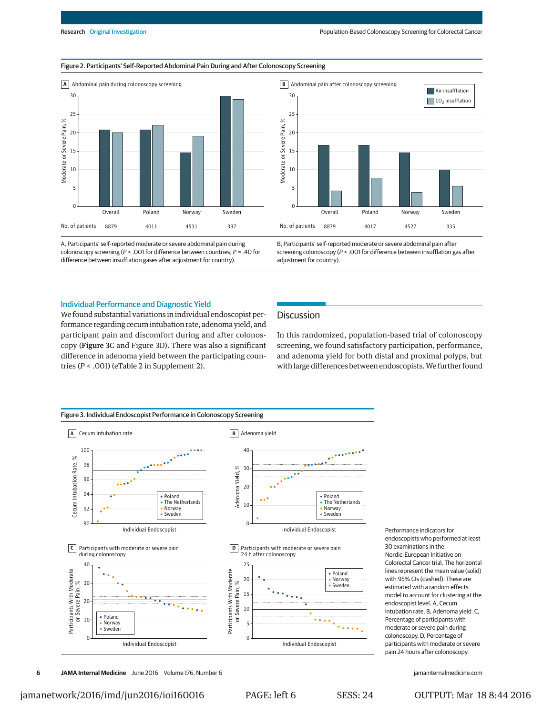#### Figure 2. Participants' Self-Reported Abdominal Pain During and After Colonoscopy Screening



A, Participants' self-reported moderate or severe abdominal pain during colonoscopy screening ( $P < .001$  for difference between countries;  $P = .40$  for difference between insufflation gases after adjustment for country).



B, Participants' self-reported moderate or severe abdominal pain after screening colonoscopy (P < .001 for difference between insufflation gas after adjustment for country).

#### Individual Performance and Diagnostic Yield

We found substantial variations in individual endoscopist performance regarding cecum intubation rate, adenoma yield, and participant pain and discomfort during and after colonoscopy (Figure 3C and Figure 3D). There was also a significant difference in adenoma yield between the participating countries (*P* < .001) (eTable 2 in Supplement 2).

#### **Discussion**

In this randomized, population-based trial of colonoscopy screening, we found satisfactory participation, performance, and adenoma yield for both distal and proximal polyps, but with large differences between endoscopists. We further found



Performance indicators for endoscopists who performed at least 30 examinations in the Nordic-European Initiative on Colorectal Cancer trial. The horizontal lines represent the mean value (solid) with 95% CIs (dashed). These are estimated with a random effects model to account for clustering at the endoscopist level. A, Cecum intubation rate. B, Adenoma yield. C, Percentage of participants with moderate or severe pain during colonoscopy. D, Percentage of participants with moderate or severe pain 24 hours after colonoscopy.

**6 JAMA Internal Medicine** June 2016 Volume 176, Number 6 **(Reprinted)** in the proposition of the state of the state of the state of the state of the state of the state of the state of the state of the state of the state o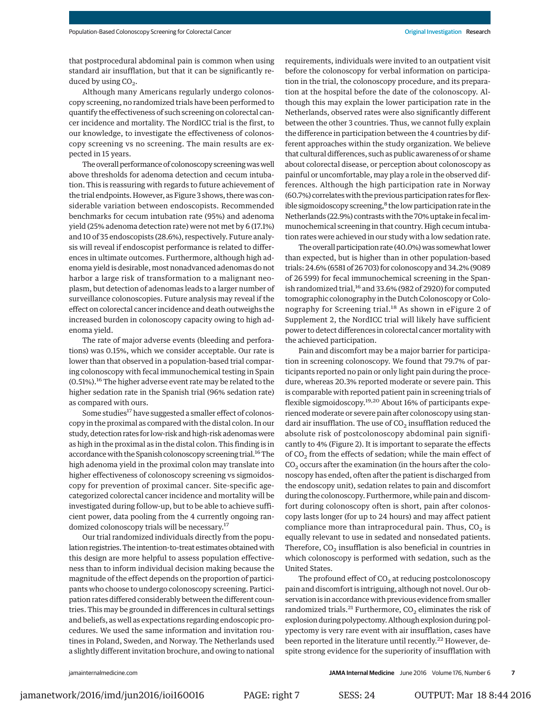that postprocedural abdominal pain is common when using standard air insufflation, but that it can be significantly reduced by using  $CO<sub>2</sub>$ .

Although many Americans regularly undergo colonoscopy screening, no randomized trials have been performed to quantify the effectiveness of such screening on colorectal cancer incidence and mortality. The NordICC trial is the first, to our knowledge, to investigate the effectiveness of colonoscopy screening vs no screening. The main results are expected in 15 years.

The overall performance of colonoscopy screening was well above thresholds for adenoma detection and cecum intubation. This is reassuring with regards to future achievement of the trial endpoints. However, as Figure 3 shows, there was considerable variation between endoscopists. Recommended benchmarks for cecum intubation rate (95%) and adenoma yield (25% adenoma detection rate) were not met by 6 (17.1%) and 10 of 35 endoscopists (28.6%), respectively. Future analysis will reveal if endoscopist performance is related to differences in ultimate outcomes. Furthermore, although high adenoma yield is desirable, most nonadvanced adenomas do not harbor a large risk of transformation to a malignant neoplasm, but detection of adenomas leads to a larger number of surveillance colonoscopies. Future analysis may reveal if the effect on colorectal cancer incidence and death outweighs the increased burden in colonoscopy capacity owing to high adenoma yield.

The rate of major adverse events (bleeding and perforations) was 0.15%, which we consider acceptable. Our rate is lower than that observed in a population-based trial comparing colonoscopy with fecal immunochemical testing in Spain (0.51%).<sup>16</sup> The higher adverse event rate may be related to the higher sedation rate in the Spanish trial (96% sedation rate) as compared with ours.

Some studies<sup>17</sup> have suggested a smaller effect of colonoscopy in the proximal as compared with the distal colon. In our study, detection rates for low-risk and high-risk adenomaswere as high in the proximal as in the distal colon. This finding is in accordance with the Spanish colonoscopy screening trial.<sup>16</sup> The high adenoma yield in the proximal colon may translate into higher effectiveness of colonoscopy screening vs sigmoidoscopy for prevention of proximal cancer. Site-specific agecategorized colorectal cancer incidence and mortality will be investigated during follow-up, but to be able to achieve sufficient power, data pooling from the 4 currently ongoing randomized colonoscopy trials will be necessary.<sup>17</sup>

Our trial randomized individuals directly from the population registries. The intention-to-treat estimates obtained with this design are more helpful to assess population effectiveness than to inform individual decision making because the magnitude of the effect depends on the proportion of participants who choose to undergo colonoscopy screening. Participation rates differed considerably between the different countries. This may be grounded in differences in cultural settings and beliefs, as well as expectations regarding endoscopic procedures. We used the same information and invitation routines in Poland, Sweden, and Norway. The Netherlands used a slightly different invitation brochure, and owing to national

requirements, individuals were invited to an outpatient visit before the colonoscopy for verbal information on participation in the trial, the colonoscopy procedure, and its preparation at the hospital before the date of the colonoscopy. Although this may explain the lower participation rate in the Netherlands, observed rates were also significantly different between the other 3 countries. Thus, we cannot fully explain the difference in participation between the 4 countries by different approaches within the study organization. We believe that cultural differences, such as public awareness of or shame about colorectal disease, or perception about colonoscopy as painful or uncomfortable, may play a role in the observed differences. Although the high participation rate in Norway (60.7%) correlates with the previous participation rates for flexible sigmoidoscopy screening,<sup>8</sup> the low participation rate in the Netherlands (22.9%) contrasts with the 70% uptake in fecal immunochemical screening in that country. High cecum intubation rates were achieved in our study with a low sedation rate.

The overall participation rate (40.0%) was somewhat lower than expected, but is higher than in other population-based trials: 24.6% (6581 of 26 703) for colonoscopy and 34.2% (9089 of 26 599) for fecal immunochemical screening in the Spanish randomized trial, $16$  and 33.6% (982 of 2920) for computed tomographic colonography in the Dutch Colonoscopy or Colonography for Screening trial.<sup>18</sup> As shown in eFigure 2 of Supplement 2, the NordICC trial will likely have sufficient power to detect differences in colorectal cancer mortality with the achieved participation.

Pain and discomfort may be a major barrier for participation in screening colonoscopy. We found that 79.7% of participants reported no pain or only light pain during the procedure, whereas 20.3% reported moderate or severe pain. This is comparable with reported patient pain in screening trials of flexible sigmoidoscopy.<sup>19,20</sup> About 16% of participants experienced moderate or severe pain after colonoscopy using standard air insufflation. The use of  $CO<sub>2</sub>$  insufflation reduced the absolute risk of postcolonoscopy abdominal pain significantly to 4% (Figure 2). It is important to separate the effects of  $CO<sub>2</sub>$  from the effects of sedation; while the main effect of  $CO<sub>2</sub>$  occurs after the examination (in the hours after the colonoscopy has ended, often after the patient is discharged from the endoscopy unit), sedation relates to pain and discomfort during the colonoscopy. Furthermore, while pain and discomfort during colonoscopy often is short, pain after colonoscopy lasts longer (for up to 24 hours) and may affect patient compliance more than intraprocedural pain. Thus,  $CO<sub>2</sub>$  is equally relevant to use in sedated and nonsedated patients. Therefore,  $CO<sub>2</sub>$  insufflation is also beneficial in countries in which colonoscopy is performed with sedation, such as the United States.

The profound effect of  $CO<sub>2</sub>$  at reducing postcolonoscopy pain and discomfort is intriguing, although not novel. Our observation is in accordance with previous evidence from smaller randomized trials.<sup>21</sup> Furthermore,  $CO<sub>2</sub>$  eliminates the risk of explosion during polypectomy. Although explosion during polypectomy is very rare event with air insufflation, cases have been reported in the literature until recently.<sup>22</sup> However, despite strong evidence for the superiority of insufflation with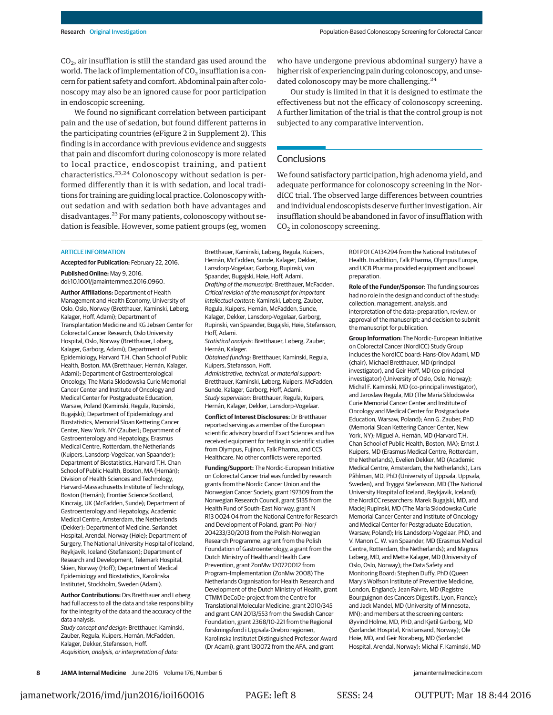$CO<sub>2</sub>$ , air insufflation is still the standard gas used around the world. The lack of implementation of  $CO<sub>2</sub>$  insufflation is a concern for patient safety and comfort. Abdominal pain after colonoscopy may also be an ignored cause for poor participation in endoscopic screening.

We found no significant correlation between participant pain and the use of sedation, but found different patterns in the participating countries (eFigure 2 in Supplement 2). This finding is in accordance with previous evidence and suggests that pain and discomfort during colonoscopy is more related to local practice, endoscopist training, and patient characteristics.<sup>23,24</sup> Colonoscopy without sedation is performed differently than it is with sedation, and local traditions for training are guiding local practice. Colonoscopy without sedation and with sedation both have advantages and disadvantages.<sup>23</sup> For many patients, colonoscopy without sedation is feasible. However, some patient groups (eg, women who have undergone previous abdominal surgery) have a higher risk of experiencing pain during colonoscopy, and unsedated colonoscopy may be more challenging.<sup>24</sup>

Our study is limited in that it is designed to estimate the effectiveness but not the efficacy of colonoscopy screening. A further limitation of the trial is that the control group is not subjected to any comparative intervention.

#### **Conclusions**

We found satisfactory participation, high adenoma yield, and adequate performance for colonoscopy screening in the NordICC trial. The observed large differences between countries and individual endoscopists deserve further investigation. Air insufflation should be abandoned in favor of insufflation with  $CO<sub>2</sub>$  in colonoscopy screening.

#### **ARTICLE INFORMATION**

**Accepted for Publication:** February 22, 2016.

**Published Online:** May 9, 2016. doi:10.1001/jamainternmed.2016.0960.

**Author Affiliations:** Department of Health Management and Health Economy, University of Oslo, Oslo, Norway (Bretthauer, Kaminski, Løberg, Kalager, Hoff, Adami); Department of Transplantation Medicine and KG Jebsen Center for Colorectal Cancer Research, Oslo University Hospital, Oslo, Norway (Bretthauer, Løberg, Kalager, Garborg, Adami); Department of Epidemiology, Harvard T.H. Chan School of Public Health, Boston, MA (Bretthauer, Hernán, Kalager, Adami); Department of Gastroenterological Oncology, The Maria Sklodowska Curie Memorial Cancer Center and Institute of Oncology and Medical Center for Postgraduate Education, Warsaw, Poland (Kaminski, Regula, Rupinski, Bugajski); Department of Epidemiology and Biostatistics, Memorial Sloan Kettering Cancer Center, New York, NY (Zauber); Department of Gastroenterology and Hepatology, Erasmus Medical Centre, Rotterdam, the Netherlands (Kuipers, Lansdorp-Vogelaar, van Spaander); Department of Biostatistics, Harvard T.H. Chan School of Public Health, Boston, MA (Hernán); Division of Health Sciences and Technology, Harvard–Massachusetts Institute of Technology, Boston (Hernán); Frontier Science Scotland, Kincraig, UK (McFadden, Sunde); Department of Gastroenterology and Hepatology, Academic Medical Centre, Amsterdam, the Netherlands (Dekker); Department of Medicine, Sørlandet Hospital, Arendal, Norway (Høie); Department of Surgery, The National University Hospital of Iceland, Reykjavik, Iceland (Stefansson); Department of Research and Development, Telemark Hospital, Skien, Norway (Hoff); Department of Medical Epidemiology and Biostatistics, Karolinska Institutet, Stockholm, Sweden (Adami).

**Author Contributions:** Drs Bretthauer and Løberg had full access to all the data and take responsibility for the integrity of the data and the accuracy of the data analysis.

Study concept and design: Bretthauer, Kaminski, Zauber, Regula, Kuipers, Hernán, McFadden, Kalager, Dekker, Stefansson, Hoff. Acquisition, analysis, or interpretation of data:

Bretthauer, Kaminski, Løberg, Regula, Kuipers, Hernán, McFadden, Sunde, Kalager, Dekker, Lansdorp-Vogelaar, Garborg, Rupinski, van Spaander, Bugajski, Høie, Hoff, Adami. Drafting of the manuscript: Bretthauer, McFadden. Critical revision of the manuscript for important intellectual content: Kaminski, Løberg, Zauber, Regula, Kuipers, Hernán, McFadden, Sunde, Kalager, Dekker, Lansdorp-Vogelaar, Garborg, Rupinski, van Spaander, Bugajski, Høie, Stefansson, Hoff, Adami.

Statistical analysis: Bretthauer, Løberg, Zauber, Hernán, Kalager.

Obtained funding: Bretthauer, Kaminski, Regula, Kuipers, Stefansson, Hoff.

Administrative, technical, or material support: Bretthauer, Kaminski, Løberg, Kuipers, McFadden, Sunde, Kalager, Garborg, Hoff, Adami. Study supervision: Bretthauer, Regula, Kuipers, Hernán, Kalager, Dekker, Lansdorp-Vogelaar.

**Conflict of Interest Disclosures:** Dr Bretthauer reported serving as a member of the European scientific advisory board of Exact Sciences and has received equipment for testing in scientific studies from Olympus, Fujinon, Falk Pharma, and CCS Healthcare. No other conflicts were reported.

**Funding/Support:** The Nordic-European Initiative on Colorectal Cancer trial was funded by research grants from the Nordic Cancer Union and the Norwegian Cancer Society, grant 197309 from the Norwegian Research Council, grant 5135 from the Health Fund of South-East Norway, grant N R13 0024 04 from the National Centre for Research and Development of Poland, grant Pol-Nor/ 204233/30/2013 from the Polish-Norwegian Research Programme, a grant from the Polish Foundation of Gastroenterology, a grant from the Dutch Ministry of Health and Health Care Prevention, grant ZonMw 120720012 from Program–Implementation (ZonMw 2008) The Netherlands Organisation for Health Research and Development of the Dutch Ministry of Health, grant CTMM DeCoDe-project from the Centre for Translational Molecular Medicine, grant 2010/345 and grant CAN 2013/553 from the Swedish Cancer Foundation, grant 2368/10-221 from the Regional forskningsfond i Uppsala-Örebro regionen, Karolinska Institutet Distinguished Professor Award (Dr Adami), grant 130072 from the AFA, and grant

R01 P01 CA134294 from the National Institutes of Health. In addition, Falk Pharma, Olympus Europe, and UCB Pharma provided equipment and bowel preparation.

**Role of the Funder/Sponsor:** The funding sources had no role in the design and conduct of the study; collection, management, analysis, and interpretation of the data; preparation, review, or approval of the manuscript; and decision to submit the manuscript for publication.

**Group Information:** The Nordic-European Initiative on Colorectal Cancer (NordICC) Study Group includes the NordICC board: Hans-Olov Adami, MD (chair), Michael Bretthauer, MD (principal investigator), and Geir Hoff, MD (co-principal investigator) (University of Oslo, Oslo, Norway); Michal F. Kaminski, MD (co-principal investigator), and Jaroslaw Regula, MD (The Maria Sklodowska Curie Memorial Cancer Center and Institute of Oncology and Medical Center for Postgraduate Education, Warsaw, Poland); Ann G. Zauber, PhD (Memorial Sloan Kettering Cancer Center, New York, NY); Miguel A. Hernán, MD (Harvard T.H. Chan School of Public Health, Boston, MA); Ernst J. Kuipers, MD (Erasmus Medical Centre, Rotterdam, the Netherlands), Evelien Dekker, MD (Academic Medical Centre, Amsterdam, the Netherlands), Lars Påhlman, MD, PhD (University of Uppsala, Uppsala, Sweden), and Tryggvi Stefansson, MD (The National University Hospital of Iceland, Reykjavik, Iceland); the NordICC researchers: Marek Bugajski, MD, and Maciej Rupinski, MD (The Maria Sklodowska Curie Memorial Cancer Center and Institute of Oncology and Medical Center for Postgraduate Education, Warsaw, Poland); Iris Landsdorp-Vogelaar, PhD, and V. Manon C. W. van Spaander, MD (Erasmus Medical Centre, Rotterdam, the Netherlands); and Magnus Løberg, MD, and Mette Kalager, MD (University of Oslo, Oslo, Norway); the Data Safety and Monitoring Board: Stephen Duffy, PhD (Queen Mary's Wolfson Institute of Preventive Medicine, London, England); Jean Faivre, MD (Registre Bourguignon des Cancers Digestifs, Lyon, France); and Jack Mandel, MD (University of Minnesota, MN); and members at the screening centers: Øyvind Holme, MD, PhD, and Kjetil Garborg, MD (Sørlandet Hospital, Kristiansand, Norway); Ole Høie, MD, and Geir Noraberg, MD (Sørlandet Hospital, Arendal, Norway); Michal F. Kaminski, MD

**8 JAMA Internal Medicine** June 2016 Volume 176, Number 6 **(Reprinted)** in the proposition of the state of the state of the state of the state of the state of the state of the state of the state of the state of the state o